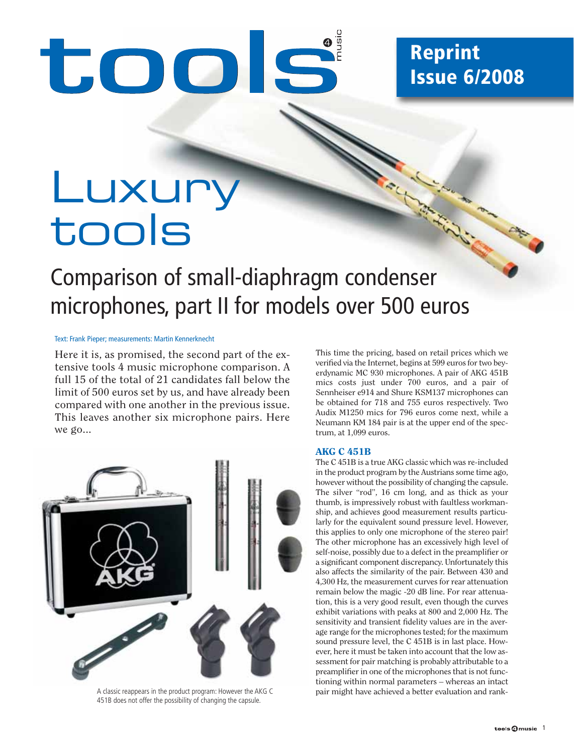# took

## **Reprint Issue 6/2008**

## Luxury tools

## Comparison of small-diaphragm condenser microphones, part II for models over 500 euros

#### Text: Frank Pieper; measurements: Martin Kennerknecht

Here it is, as promised, the second part of the extensive tools 4 music microphone comparison. A full 15 of the total of 21 candidates fall below the limit of 500 euros set by us, and have already been compared with one another in the previous issue. This leaves another six microphone pairs. Here we go...



A classic reappears in the product program: However the AKG C 451B does not offer the possibility of changing the capsule.

This time the pricing, based on retail prices which we verified via the Internet, begins at 599 euros for two beyerdynamic MC 930 microphones. A pair of AKG 451B mics costs just under 700 euros, and a pair of Sennheiser e914 and Shure KSM137 microphones can be obtained for 718 and 755 euros respectively. Two Audix M1250 mics for 796 euros come next, while a Neumann KM 184 pair is at the upper end of the spectrum, at 1,099 euros.

#### **AKG C 451B**

The C 451B is a true AKG classic which was re-included in the product program by the Austrians some time ago, however without the possibility of changing the capsule. The silver "rod", 16 cm long, and as thick as your thumb, is impressively robust with faultless workmanship, and achieves good measurement results particularly for the equivalent sound pressure level. However, this applies to only one microphone of the stereo pair! The other microphone has an excessively high level of self-noise, possibly due to a defect in the preamplifier or a significant component discrepancy. Unfortunately this also affects the similarity of the pair. Between 430 and 4,300 Hz, the measurement curves for rear attenuation remain below the magic -20 dB line. For rear attenuation, this is a very good result, even though the curves exhibit variations with peaks at 800 and 2,000 Hz. The sensitivity and transient fidelity values are in the average range for the microphones tested; for the maximum sound pressure level, the C 451B is in last place. However, here it must be taken into account that the low assessment for pair matching is probably attributable to a preamplifier in one of the microphones that is not functioning within normal parameters – whereas an intact pair might have achieved a better evaluation and rank-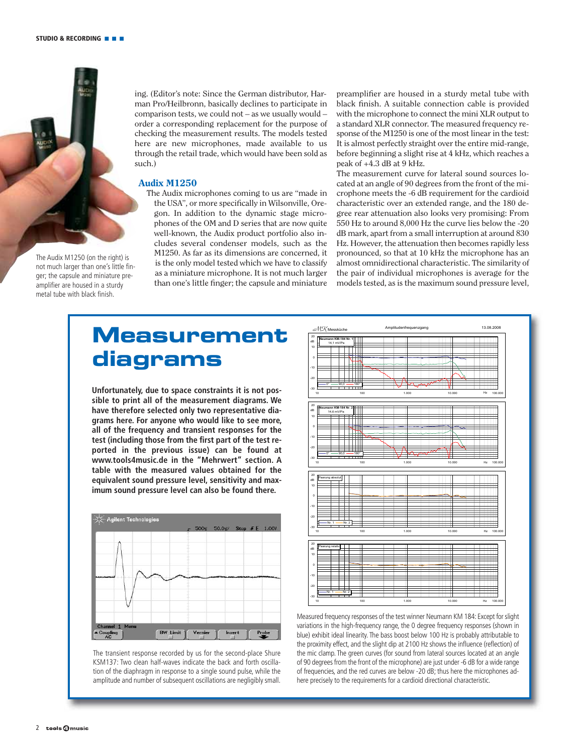

The Audix M1250 (on the right) is not much larger than one's little finger; the capsule and miniature preamplifier are housed in a sturdy metal tube with black finish.

ing. (Editor's note: Since the German distributor, Harman Pro/Heilbronn, basically declines to participate in comparison tests, we could not – as we usually would – order a corresponding replacement for the purpose of checking the measurement results. The models tested here are new microphones, made available to us through the retail trade, which would have been sold as such.)

#### **Audix M1250**

The Audix microphones coming to us are "made in the USA", or more specifically in Wilsonville, Oregon. In addition to the dynamic stage microphones of the OM and D series that are now quite well-known, the Audix product portfolio also includes several condenser models, such as the M1250. As far as its dimensions are concerned, it is the only model tested which we have to classify as a miniature microphone. It is not much larger than one's little finger; the capsule and miniature

preamplifier are housed in a sturdy metal tube with black finish. A suitable connection cable is provided with the microphone to connect the mini XLR output to a standard XLR connector. The measured frequency response of the M1250 is one of the most linear in the test: It is almost perfectly straight over the entire mid-range, before beginning a slight rise at 4 kHz, which reaches a peak of +4.3 dB at 9 kHz.

The measurement curve for lateral sound sources located at an angle of 90 degrees from the front of the microphone meets the -6 dB requirement for the cardioid characteristic over an extended range, and the 180 degree rear attenuation also looks very promising: From 550 Hz to around 8,000 Hz the curve lies below the -20 dB mark, apart from a small interruption at around 830 Hz. However, the attenuation then becomes rapidly less pronounced, so that at 10 kHz the microphone has an almost omnidirectional characteristic. The similarity of the pair of individual microphones is average for the models tested, as is the maximum sound pressure level,

## **Measurement diagrams**

**Unfortunately, due to space constraints it is not possible to print all of the measurement diagrams. We have therefore selected only two representative diagrams here. For anyone who would like to see more, all of the frequency and transient responses for the test (including those from the first part of the test reported in the previous issue) can be found at www.tools4music.de in the "Mehrwert" section. A table with the measured values obtained for the equivalent sound pressure level, sensitivity and maximum sound pressure level can also be found there.**



The transient response recorded by us for the second-place Shure KSM137: Two clean half-waves indicate the back and forth oscillation of the diaphragm in response to a single sound pulse, while the amplitude and number of subsequent oscillations are negligibly small.



Measured frequency responses of the test winner Neumann KM 184: Except for slight variations in the high-frequency range, the 0 degree frequency responses (shown in blue) exhibit ideal linearity. The bass boost below 100 Hz is probably attributable to the proximity effect, and the slight dip at 2100 Hz shows the influence (reflection) of the mic clamp. The green curves (for sound from lateral sources located at an angle of 90 degrees from the front of the microphone) are just under -6 dB for a wide range of frequencies, and the red curves are below -20 dB; thus here the microphones adhere precisely to the requirements for a cardioid directional characteristic.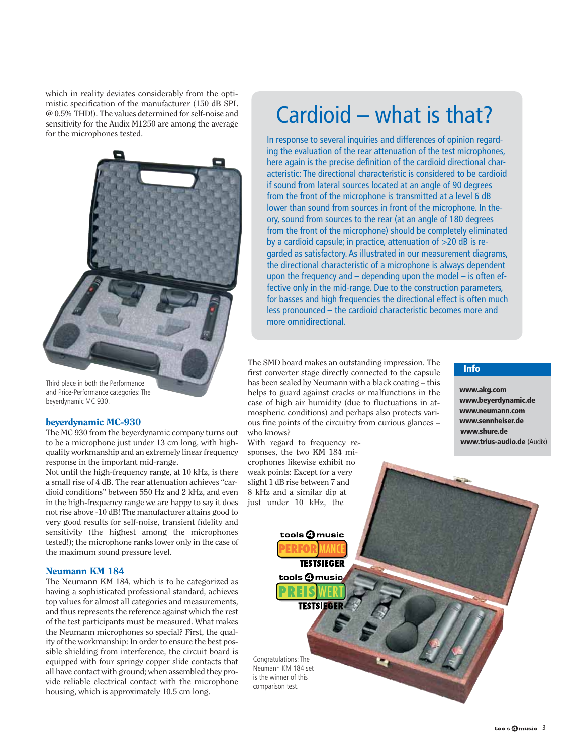which in reality deviates considerably from the optimistic specification of the manufacturer (150 dB SPL @ 0.5% THD!). The values determined for self-noise and sensitivity for the Audix M1250 are among the average for the microphones tested.



Third place in both the Performance and Price-Performance categories: The beyerdynamic MC 930.

#### **beyerdynamic MC-930**

The MC 930 from the beyerdynamic company turns out to be a microphone just under 13 cm long, with highquality workmanship and an extremely linear frequency response in the important mid-range.

Not until the high-frequency range, at 10 kHz, is there a small rise of 4 dB. The rear attenuation achieves "cardioid conditions" between 550 Hz and 2 kHz, and even in the high-frequency range we are happy to say it does not rise above -10 dB! The manufacturer attains good to very good results for self-noise, transient fidelity and sensitivity (the highest among the microphones tested!); the microphone ranks lower only in the case of the maximum sound pressure level.

#### **Neumann KM 184**

The Neumann KM 184, which is to be categorized as having a sophisticated professional standard, achieves top values for almost all categories and measurements, and thus represents the reference against which the rest of the test participants must be measured. What makes the Neumann microphones so special? First, the quality of the workmanship: In order to ensure the best possible shielding from interference, the circuit board is equipped with four springy copper slide contacts that all have contact with ground; when assembled they provide reliable electrical contact with the microphone housing, which is approximately 10.5 cm long.

## Cardioid – what is that?

In response to several inquiries and differences of opinion regarding the evaluation of the rear attenuation of the test microphones, here again is the precise definition of the cardioid directional characteristic: The directional characteristic is considered to be cardioid if sound from lateral sources located at an angle of 90 degrees from the front of the microphone is transmitted at a level 6 dB lower than sound from sources in front of the microphone. In theory, sound from sources to the rear (at an angle of 180 degrees from the front of the microphone) should be completely eliminated by a cardioid capsule; in practice, attenuation of >20 dB is regarded as satisfactory. As illustrated in our measurement diagrams, the directional characteristic of a microphone is always dependent upon the frequency and  $-$  depending upon the model  $-$  is often effective only in the mid-range. Due to the construction parameters, for basses and high frequencies the directional effect is often much less pronounced – the cardioid characteristic becomes more and more omnidirectional.

The SMD board makes an outstanding impression. The first converter stage directly connected to the capsule has been sealed by Neumann with a black coating – this helps to guard against cracks or malfunctions in the case of high air humidity (due to fluctuations in atmospheric conditions) and perhaps also protects various fine points of the circuitry from curious glances – who knows?

With regard to frequency responses, the two KM 184 microphones likewise exhibit no weak points: Except for a very slight 1 dB rise between 7 and 8 kHz and a similar dip at just under 10 kHz, the

> tools  $\bm{\Theta}$ music **TESTSIEGER**

tools **4** music EIS

**TESTSIEGER** 

Congratulations: The Neumann KM 184 set is the winner of this comparison test.

#### **Info**

**www.akg.com www.beyerdynamic.de www.neumann.com www.sennheiser.de www.shure.de www.trius-audio.de** (Audix)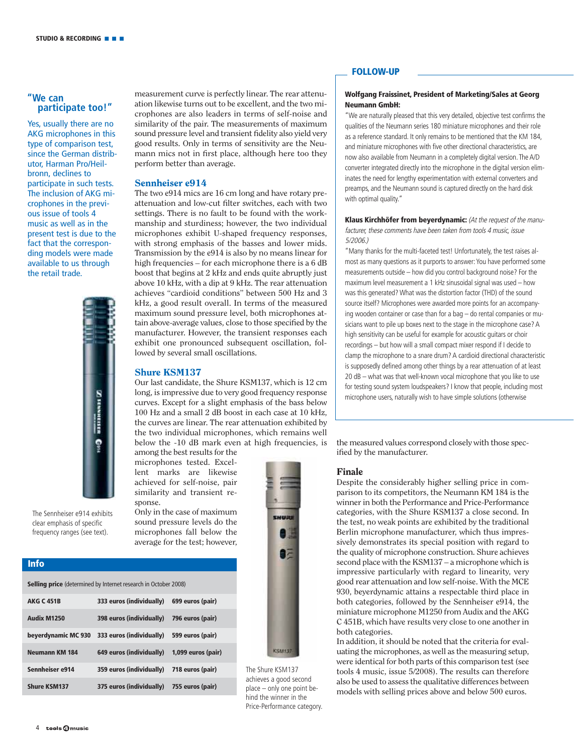#### **"We can participate too!"**

Yes, usually there are no AKG microphones in this type of comparison test, since the German distributor, Harman Pro/Heilbronn, declines to participate in such tests. The inclusion of AKG microphones in the previous issue of tools 4 music as well as in the present test is due to the fact that the corresponding models were made available to us through the retail trade.



measurement curve is perfectly linear. The rear attenuation likewise turns out to be excellent, and the two microphones are also leaders in terms of self-noise and similarity of the pair. The measurements of maximum sound pressure level and transient fidelity also yield very good results. Only in terms of sensitivity are the Neumann mics not in first place, although here too they perform better than average.

#### **Sennheiser e914**

The two e914 mics are 16 cm long and have rotary preattenuation and low-cut filter switches, each with two settings. There is no fault to be found with the workmanship and sturdiness; however, the two individual microphones exhibit U-shaped frequency responses, with strong emphasis of the basses and lower mids. Transmission by the e914 is also by no means linear for high frequencies – for each microphone there is a 6 dB boost that begins at 2 kHz and ends quite abruptly just above 10 kHz, with a dip at 9 kHz. The rear attenuation achieves "cardioid conditions" between 500 Hz and 3 kHz, a good result overall. In terms of the measured maximum sound pressure level, both microphones attain above-average values, close to those specified by the manufacturer. However, the transient responses each exhibit one pronounced subsequent oscillation, followed by several small oscillations.

#### **Shure KSM137**

Our last candidate, the Shure KSM137, which is 12 cm long, is impressive due to very good frequency response curves. Except for a slight emphasis of the bass below 100 Hz and a small 2 dB boost in each case at 10 kHz, the curves are linear. The rear attenuation exhibited by the two individual microphones, which remains well below the -10 dB mark even at high frequencies, is among the best results for the

microphones tested. Excellent marks are likewise achieved for self-noise, pair similarity and transient response

Only in the case of maximum sound pressure levels do the microphones fall below the average for the test; however,

The Sennheiser e914 exhibits clear emphasis of specific frequency ranges (see text).



The Shure KSM137 achieves a good second place – only one point behind the winner in the Price-Performance category.

#### **FOLLOW-UP**

#### **Wolfgang Fraissinet, President of Marketing/Sales at Georg Neumann GmbH:**

"We are naturally pleased that this very detailed, objective test confirms the qualities of the Neumann series 180 miniature microphones and their role as a reference standard. It only remains to be mentioned that the KM 184, and miniature microphones with five other directional characteristics, are now also available from Neumann in a completely digital version. The A/D converter integrated directly into the microphone in the digital version eliminates the need for lengthy experimentation with external converters and preamps, and the Neumann sound is captured directly on the hard disk with optimal quality."

**Klaus Kirchhöfer from beyerdynamic:** (At the request of the manufacturer, these comments have been taken from tools 4 music, issue 5/2006.)

"Many thanks for the multi-faceted test! Unfortunately, the test raises almost as many questions as it purports to answer: You have performed some measurements outside – how did you control background noise? For the maximum level measurement a 1 kHz sinusoidal signal was used – how was this generated? What was the distortion factor (THD) of the sound source itself? Microphones were awarded more points for an accompanying wooden container or case than for a bag – do rental companies or musicians want to pile up boxes next to the stage in the microphone case? A high sensitivity can be useful for example for acoustic guitars or choir recordings – but how will a small compact mixer respond if I decide to clamp the microphone to a snare drum? A cardioid directional characteristic is supposedly defined among other things by a rear attenuation of at least 20 dB – what was that well-known vocal microphone that you like to use for testing sound system loudspeakers? I know that people, including most microphone users, naturally wish to have simple solutions (otherwise

the measured values correspond closely with those specified by the manufacturer.

#### **Finale**

Despite the considerably higher selling price in comparison to its competitors, the Neumann KM 184 is the winner in both the Performance and Price-Performance categories, with the Shure KSM137 a close second. In the test, no weak points are exhibited by the traditional Berlin microphone manufacturer, which thus impressively demonstrates its special position with regard to the quality of microphone construction. Shure achieves second place with the KSM137 – a microphone which is impressive particularly with regard to linearity, very good rear attenuation and low self-noise. With the MCE 930, beyerdynamic attains a respectable third place in both categories, followed by the Sennheiser e914, the miniature microphone M1250 from Audix and the AKG C 451B, which have results very close to one another in both categories.

In addition, it should be noted that the criteria for evaluating the microphones, as well as the measuring setup, were identical for both parts of this comparison test (see tools 4 music, issue 5/2008). The results can therefore also be used to assess the qualitative differences between models with selling prices above and below 500 euros.

**Info**

| <b>AKG C 451B</b>     | 333 euros (individually) | 699 euros (pair)   |
|-----------------------|--------------------------|--------------------|
| <b>Audix M1250</b>    | 398 euros (individually) | 796 euros (pair)   |
| beyerdynamic MC 930   | 333 euros (individually) | 599 euros (pair)   |
| <b>Neumann KM 184</b> | 649 euros (individually) | 1,099 euros (pair) |

**Sennheiser e914 359 euros (individually) 718 euros (pair) Shure KSM137 375 euros (individually) 755 euros (pair)**

**Selling price** (determined by Internet research in October 2008)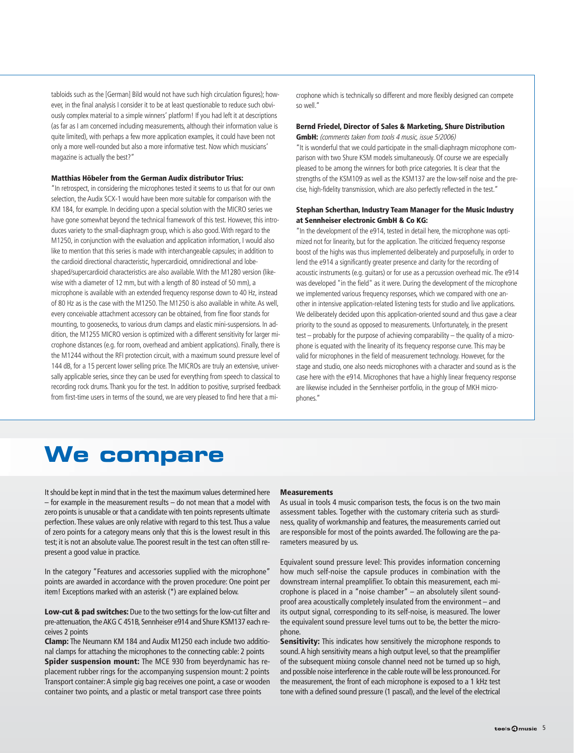tabloids such as the [German] Bild would not have such high circulation figures); however, in the final analysis I consider it to be at least questionable to reduce such obviously complex material to a simple winners' platform! If you had left it at descriptions (as far as I am concerned including measurements, although their information value is quite limited), with perhaps a few more application examples, it could have been not only a more well-rounded but also a more informative test. Now which musicians' magazine is actually the best?"

#### **Matthias Höbeler from the German Audix distributor Trius:**

"In retrospect, in considering the microphones tested it seems to us that for our own selection, the Audix SCX-1 would have been more suitable for comparison with the KM 184, for example. In deciding upon a special solution with the MICRO series we have gone somewhat beyond the technical framework of this test. However, this introduces variety to the small-diaphragm group, which is also good. With regard to the M1250, in conjunction with the evaluation and application information, I would also like to mention that this series is made with interchangeable capsules; in addition to the cardioid directional characteristic, hypercardioid, omnidirectional and lobeshaped/supercardioid characteristics are also available. With the M1280 version (likewise with a diameter of 12 mm, but with a length of 80 instead of 50 mm), a microphone is available with an extended frequency response down to 40 Hz, instead of 80 Hz as is the case with the M1250. The M1250 is also available in white. As well, every conceivable attachment accessory can be obtained, from fine floor stands for mounting, to goosenecks, to various drum clamps and elastic mini-suspensions. In addition, the M1255 MICRO version is optimized with a different sensitivity for larger microphone distances (e.g. for room, overhead and ambient applications). Finally, there is the M1244 without the RFI protection circuit, with a maximum sound pressure level of 144 dB, for a 15 percent lower selling price. The MICROs are truly an extensive, universally applicable series, since they can be used for everything from speech to classical to recording rock drums. Thank you for the test. In addition to positive, surprised feedback from first-time users in terms of the sound, we are very pleased to find here that a microphone which is technically so different and more flexibly designed can compete so well."

#### **Bernd Friedel, Director of Sales & Marketing, Shure Distribution**

**GmbH:** (comments taken from tools 4 music, issue 5/2006) "It is wonderful that we could participate in the small-diaphragm microphone comparison with two Shure KSM models simultaneously. Of course we are especially pleased to be among the winners for both price categories. It is clear that the strengths of the KSM109 as well as the KSM137 are the low-self noise and the precise, high-fidelity transmission, which are also perfectly reflected in the test."

#### **Stephan Scherthan, Industry Team Manager for the Music Industry at Sennheiser electronic GmbH & Co KG:**

"In the development of the e914, tested in detail here, the microphone was optimized not for linearity, but for the application. The criticized frequency response boost of the highs was thus implemented deliberately and purposefully, in order to lend the e914 a significantly greater presence and clarity for the recording of acoustic instruments (e.g. guitars) or for use as a percussion overhead mic. The e914 was developed "in the field" as it were. During the development of the microphone we implemented various frequency responses, which we compared with one another in intensive application-related listening tests for studio and live applications. We deliberately decided upon this application-oriented sound and thus gave a clear priority to the sound as opposed to measurements. Unfortunately, in the present test – probably for the purpose of achieving comparability – the quality of a microphone is equated with the linearity of its frequency response curve. This may be valid for microphones in the field of measurement technology. However, for the stage and studio, one also needs microphones with a character and sound as is the case here with the e914. Microphones that have a highly linear frequency response are likewise included in the Sennheiser portfolio, in the group of MKH microphones."

## **We compare**

It should be kept in mind that in the test the maximum values determined here – for example in the measurement results – do not mean that a model with zero points is unusable or that a candidate with ten points represents ultimate perfection. These values are only relative with regard to this test. Thus a value of zero points for a category means only that this is the lowest result in this test; it is not an absolute value. The poorest result in the test can often still represent a good value in practice.

In the category "Features and accessories supplied with the microphone" points are awarded in accordance with the proven procedure: One point per item! Exceptions marked with an asterisk (\*) are explained below.

**Low-cut & pad switches:** Due to the two settings for the low-cut filter and pre-attenuation, the AKG C 451B, Sennheiser e914 and Shure KSM137 each receives 2 points

**Clamp:** The Neumann KM 184 and Audix M1250 each include two additional clamps for attaching the microphones to the connecting cable: 2 points **Spider suspension mount:** The MCE 930 from beyerdynamic has replacement rubber rings for the accompanying suspension mount: 2 points Transport container: A simple gig bag receives one point, a case or wooden container two points, and a plastic or metal transport case three points

#### **Measurements**

As usual in tools 4 music comparison tests, the focus is on the two main assessment tables. Together with the customary criteria such as sturdiness, quality of workmanship and features, the measurements carried out are responsible for most of the points awarded. The following are the parameters measured by us.

Equivalent sound pressure level: This provides information concerning how much self-noise the capsule produces in combination with the downstream internal preamplifier. To obtain this measurement, each microphone is placed in a "noise chamber" – an absolutely silent soundproof area acoustically completely insulated from the environment – and its output signal, corresponding to its self-noise, is measured. The lower the equivalent sound pressure level turns out to be, the better the microphone.

**Sensitivity:** This indicates how sensitively the microphone responds to sound. A high sensitivity means a high output level, so that the preamplifier of the subsequent mixing console channel need not be turned up so high, and possible noise interference in the cable route will be less pronounced. For the measurement, the front of each microphone is exposed to a 1 kHz test tone with a defined sound pressure (1 pascal), and the level of the electrical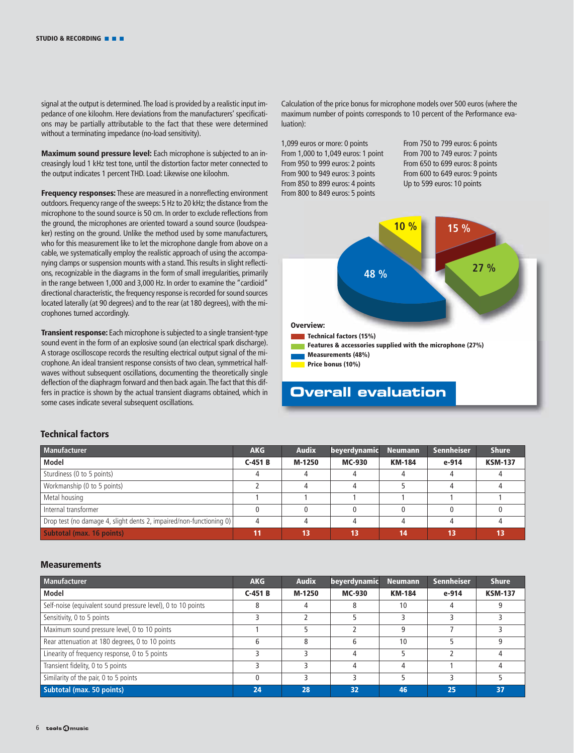signal at the output is determined. The load is provided by a realistic input impedance of one kiloohm. Here deviations from the manufacturers' specifications may be partially attributable to the fact that these were determined without a terminating impedance (no-load sensitivity).

**Maximum sound pressure level:** Each microphone is subjected to an increasingly loud 1 kHz test tone, until the distortion factor meter connected to the output indicates 1 percent THD. Load: Likewise one kiloohm.

**Frequency responses:** These are measured in a nonreflecting environment outdoors. Frequency range of the sweeps: 5 Hz to 20 kHz; the distance from the microphone to the sound source is 50 cm. In order to exclude reflections from the ground, the microphones are oriented toward a sound source (loudspeaker) resting on the ground. Unlike the method used by some manufacturers, who for this measurement like to let the microphone dangle from above on a cable, we systematically employ the realistic approach of using the accompanying clamps or suspension mounts with a stand. This results in slight reflections, recognizable in the diagrams in the form of small irregularities, primarily in the range between 1,000 and 3,000 Hz. In order to examine the "cardioid" directional characteristic, the frequency response is recorded for sound sources located laterally (at 90 degrees) and to the rear (at 180 degrees), with the microphones turned accordingly.

**Transient response:** Each microphone is subjected to a single transient-type sound event in the form of an explosive sound (an electrical spark discharge). A storage oscilloscope records the resulting electrical output signal of the microphone. An ideal transient response consists of two clean, symmetrical halfwaves without subsequent oscillations, documenting the theoretically single deflection of the diaphragm forward and then back again. The fact that this differs in practice is shown by the actual transient diagrams obtained, which in some cases indicate several subsequent oscillations.

Calculation of the price bonus for microphone models over 500 euros (where the maximum number of points corresponds to 10 percent of the Performance evaluation):

1,099 euros or more: 0 points From 1,000 to 1,049 euros: 1 point From 950 to 999 euros: 2 points From 900 to 949 euros: 3 points From 850 to 899 euros: 4 points From 800 to 849 euros: 5 points

From 750 to 799 euros: 6 points From 700 to 749 euros: 7 points From 650 to 699 euros: 8 points From 600 to 649 euros: 9 points Up to 599 euros: 10 points



#### **Overall evaluation**

#### **Technical factors**

| Manufacturer                                                        | <b>AKG</b> | <b>Audix</b> | beyerdynamic  | <b>Neumann</b> | <b>Sennheiser</b> | <b>Shure</b>   |
|---------------------------------------------------------------------|------------|--------------|---------------|----------------|-------------------|----------------|
| Model                                                               | $C-451B$   | M-1250       | <b>MC-930</b> | <b>KM-184</b>  | e-914             | <b>KSM-137</b> |
| Sturdiness (0 to 5 points)                                          |            |              |               |                |                   |                |
| Workmanship (0 to 5 points)                                         |            |              |               |                |                   |                |
| Metal housing                                                       |            |              |               |                |                   |                |
| Internal transformer                                                |            |              |               |                |                   |                |
| Drop test (no damage 4, slight dents 2, impaired/non-functioning 0) |            |              |               |                |                   |                |
| Subtotal (max. 16 points)                                           | 11         | 13           | 13            | 14             | 13                |                |

#### **Measurements**

| <b>Manufacturer</b>                                          | <b>AKG</b> | <b>Audix</b> | beyerdynamic  | <b>Neumann</b> | <b>Sennheiser</b> | <b>Shure</b>   |
|--------------------------------------------------------------|------------|--------------|---------------|----------------|-------------------|----------------|
| Model                                                        | $C-451B$   | M-1250       | <b>MC-930</b> | <b>KM-184</b>  | e-914             | <b>KSM-137</b> |
| Self-noise (equivalent sound pressure level), 0 to 10 points | 8          |              |               | 10             |                   |                |
| Sensitivity, 0 to 5 points                                   |            |              |               |                |                   |                |
| Maximum sound pressure level, 0 to 10 points                 |            |              |               |                |                   |                |
| Rear attenuation at 180 degrees, 0 to 10 points              | 6          | 8            | 6             | 10             |                   |                |
| Linearity of frequency response, 0 to 5 points               |            |              | 4             |                |                   |                |
| Transient fidelity, 0 to 5 points                            |            |              | 4             |                |                   |                |
| Similarity of the pair, 0 to 5 points                        |            |              |               |                |                   |                |
| Subtotal (max. 50 points)                                    | 24         | 28           | 32            | 46             | 25                | 37             |